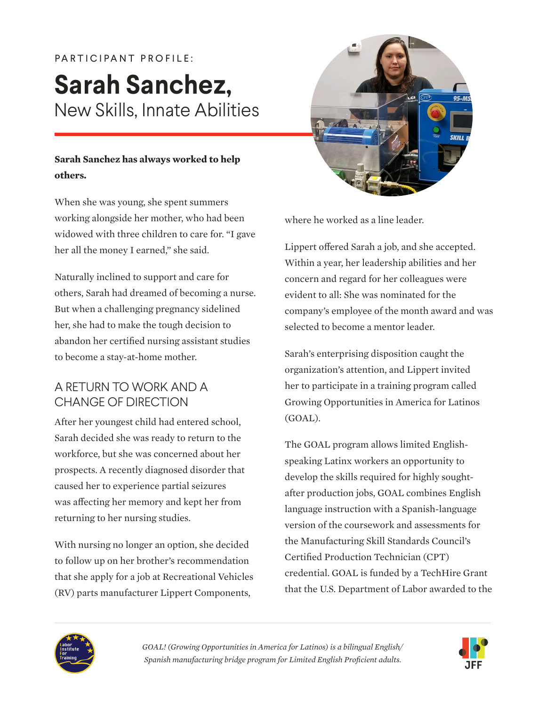# PARTICIPANT PROFILE: **Sarah Sanchez,** New Skills, Innate Abilities

### **Sarah Sanchez has always worked to help others.**

When she was young, she spent summers working alongside her mother, who had been widowed with three children to care for. "I gave her all the money I earned," she said.

Naturally inclined to support and care for others, Sarah had dreamed of becoming a nurse. But when a challenging pregnancy sidelined her, she had to make the tough decision to abandon her certified nursing assistant studies to become a stay-at-home mother.

## A RETURN TO WORK AND A CHANGE OF DIRECTION

After her youngest child had entered school, Sarah decided she was ready to return to the workforce, but she was concerned about her prospects. A recently diagnosed disorder that caused her to experience partial seizures was affecting her memory and kept her from returning to her nursing studies.

With nursing no longer an option, she decided to follow up on her brother's recommendation that she apply for a job at Recreational Vehicles (RV) parts manufacturer Lippert Components,



where he worked as a line leader.

Lippert offered Sarah a job, and she accepted. Within a year, her leadership abilities and her concern and regard for her colleagues were evident to all: She was nominated for the company's employee of the month award and was selected to become a mentor leader.

Sarah's enterprising disposition caught the organization's attention, and Lippert invited her to participate in a training program called Growing Opportunities in America for Latinos (GOAL).

The GOAL program allows limited Englishspeaking Latinx workers an opportunity to develop the skills required for highly soughtafter production jobs, GOAL combines English language instruction with a Spanish-language version of the coursework and assessments for the Manufacturing Skill Standards Council's Certified Production Technician (CPT) credential. GOAL is funded by a TechHire Grant that the U.S. Department of Labor awarded to the



*GOAL! (Growing Opportunities in America for Latinos) is a bilingual English/ Spanish manufacturing bridge program for Limited English Proficient adults.* 

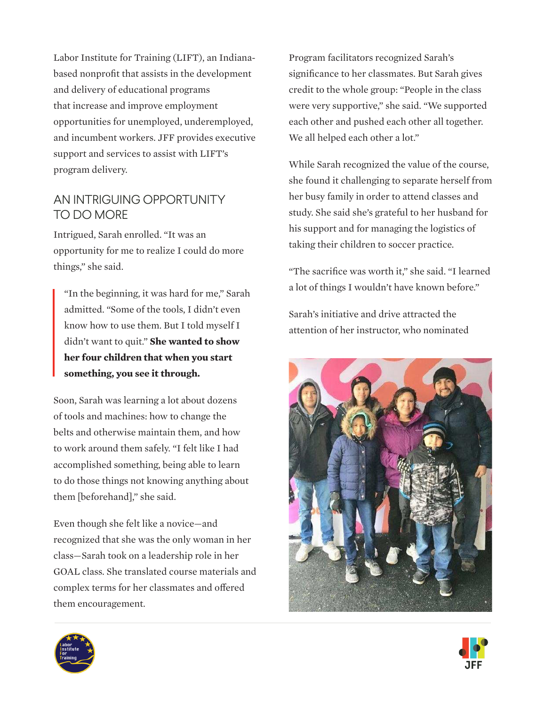Labor Institute for Training (LIFT), an Indianabased nonprofit that assists in the development and delivery of educational programs that increase and improve employment opportunities for unemployed, underemployed, and incumbent workers. JFF provides executive support and services to assist with LIFT's program delivery.

#### AN INTRIGUING OPPORTUNITY TO DO MORE

Intrigued, Sarah enrolled. "It was an opportunity for me to realize I could do more things," she said.

"In the beginning, it was hard for me," Sarah admitted. "Some of the tools, I didn't even know how to use them. But I told myself I didn't want to quit." **She wanted to show her four children that when you start something, you see it through.**

Soon, Sarah was learning a lot about dozens of tools and machines: how to change the belts and otherwise maintain them, and how to work around them safely. "I felt like I had accomplished something, being able to learn to do those things not knowing anything about them [beforehand]," she said.

Even though she felt like a novice—and recognized that she was the only woman in her class—Sarah took on a leadership role in her GOAL class. She translated course materials and complex terms for her classmates and offered them encouragement.

Program facilitators recognized Sarah's significance to her classmates. But Sarah gives credit to the whole group: "People in the class were very supportive," she said. "We supported each other and pushed each other all together. We all helped each other a lot."

While Sarah recognized the value of the course, she found it challenging to separate herself from her busy family in order to attend classes and study. She said she's grateful to her husband for his support and for managing the logistics of taking their children to soccer practice.

"The sacrifice was worth it," she said. "I learned a lot of things I wouldn't have known before."

Sarah's initiative and drive attracted the attention of her instructor, who nominated